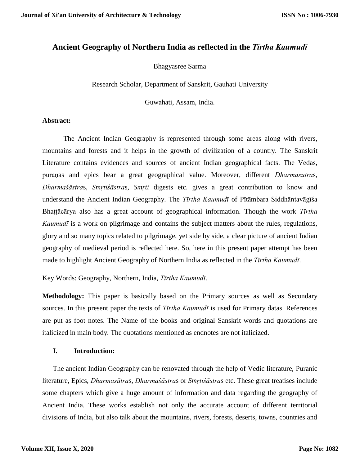# **Ancient Geography of Northern India as reflected in the** *Tīrtha Kaumudī*

Bhagyasree Sarma

Research Scholar, Department of Sanskrit, Gauhati University

Guwahati, Assam, India.

### **Abstract:**

The Ancient Indian Geography is represented through some areas along with rivers, mountains and forests and it helps in the growth of civilization of a country. The Sanskrit Literature contains evidences and sources of ancient Indian geographical facts. The Vedas, purāṇas and epics bear a great geographical value. Moreover, different *Dharmasūtra*s, *Dharmaśāstra*s, *Smṛtiśāstra*s, *Smṛti* digests etc. gives a great contribution to know and understand the Ancient Indian Geography. The *Tīrtha Kaumudī* of Pītāmbara Siddhāntavāgīsa Bhaṭṭācārya also has a great account of geographical information. Though the work *Tīrtha Kaumudī* is a work on pilgrimage and contains the subject matters about the rules, regulations, glory and so many topics related to pilgrimage, yet side by side, a clear picture of ancient Indian geography of medieval period is reflected here. So, here in this present paper attempt has been made to highlight Ancient Geography of Northern India as reflected in the *Tīrtha Kaumudī*.

Key Words: Geography, Northern, India, *Tīrtha Kaumudī*.

**Methodology:** This paper is basically based on the Primary sources as well as Secondary sources. In this present paper the texts of *Tīrtha Kaumudī* is used for Primary datas. References are put as foot notes. The Name of the books and original Sanskrit words and quotations are italicized in main body. The quotations mentioned as endnotes are not italicized.

#### **I. Introduction:**

The ancient Indian Geography can be renovated through the help of Vedic literature, Puranic literature, Epics, *Dharmasūtra*s, *Dharmaśāstra*s or *Smṛtiśāstra*s etc. These great treatises include some chapters which give a huge amount of information and data regarding the geography of Ancient India. These works establish not only the accurate account of different territorial divisions of India, but also talk about the mountains, rivers, forests, deserts, towns, countries and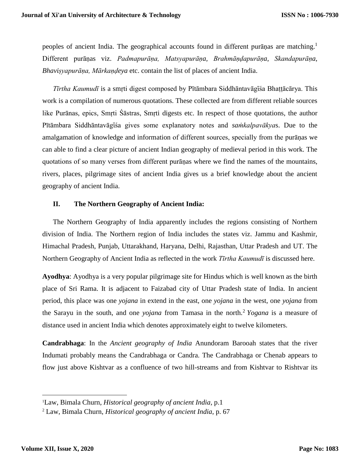peoples of ancient India. The geographical accounts found in different purāṇas are matching.<sup>1</sup> Different purāṇas viz. *Padmapurāṇa, Matsyapurāṇa, Brahmāṇḍapurāṇa*, *Skandapurāṇa*, *Bhaviṣyapurāṇa, Mārkaṇḍeya* etc. contain the list of places of ancient India.

*Tīrtha Kaumudī* is a smṛti digest composed by Pītāmbara Siddhāntavāgῑśa Bhaṭṭācārya. This work is a compilation of numerous quotations. These collected are from different reliable sources like Purānas, epics, Smṛti Śāstras, Smṛti digests etc. In respect of those quotations, the author Pītāmbara Siddhāntavāgīśa gives some explanatory notes and *samkalpavākyas*. Due to the amalgamation of knowledge and information of different sources, specially from the purāṇas we can able to find a clear picture of ancient Indian geography of medieval period in this work. The quotations of so many verses from different purāṇas where we find the names of the mountains, rivers, places, pilgrimage sites of ancient India gives us a brief knowledge about the ancient geography of ancient India.

#### **II. The Northern Geography of Ancient India:**

The Northern Geography of India apparently includes the regions consisting of Northern division of India. The Northern region of India includes the states viz. Jammu and Kashmir, Himachal Pradesh, Punjab, Uttarakhand, Haryana, Delhi, Rajasthan, Uttar Pradesh and UT. The Northern Geography of Ancient India as reflected in the work *Tīrtha Kaumudī* is discussed here.

**Ayodhya**: Ayodhya is a very popular pilgrimage site for Hindus which is well known as the birth place of Sri Rama. It is adjacent to Faizabad city of Uttar Pradesh state of India. In ancient period, this place was one *yojana* in extend in the east, one *yojana* in the west, one *yojana* from the Sarayu in the south, and one *yojana* from Tamasa in the north.<sup>2</sup> *Yogana* is a measure of distance used in ancient India which denotes approximately eight to twelve kilometers.

**Candrabhaga**: In the *Ancient geography of India* Anundoram Barooah states that the river Indumati probably means the Candrabhaga or Candra. The Candrabhaga or Chenab appears to flow just above Kishtvar as a confluence of two hill-streams and from Kishtvar to Rishtvar its

<sup>1</sup>Law, Bimala Churn, *Historical geography of ancient India,* p.1

<sup>2</sup> Law, Bimala Churn, *Historical geography of ancient India*, p. 67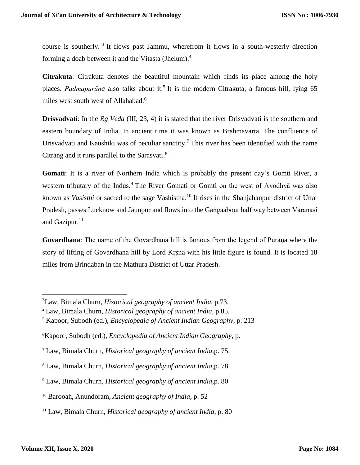course is southerly.<sup>3</sup> It flows past Jammu, wherefrom it flows in a south-westerly direction forming a doab between it and the Vitasta (Jhelum).<sup>4</sup>

**Citrakuta**: Citrakuta denotes the beautiful mountain which finds its place among the holy places. Padmapurāņa also talks about it.<sup>5</sup> It is the modern Citrakuta, a famous hill, lying 65 miles west south west of Allahabad.<sup>6</sup>

**Drisvadvati:** In the *Rg Veda* (III, 23, 4) it is stated that the river Drisvadvati is the southern and eastern boundary of India. In ancient time it was known as Brahmavarta. The confluence of Drisvadvati and Kaushiki was of peculiar sanctity.<sup>7</sup> This river has been identified with the name Citrang and it runs parallel to the Sarasvati.<sup>8</sup>

Gomati: It is a river of Northern India which is probably the present day's Gomti River, a western tributary of the Indus.<sup>9</sup> The River Gomati or Gomti on the west of Ayodhya was also known as *Vasisthi* or sacred to the sage Vashistha. <sup>10</sup> It rises in the Shahjahanpur district of Uttar Pradesh, passes Lucknow and Jaunpur and flows into the Gaṅgāabout half way between Varanasi and Gazipur. $11$ 

**Govardhana**: The name of the Govardhana hill is famous from the legend of Purāṇa where the story of lifting of Govardhana hill by Lord Krsna with his little figure is found. It is located 18 miles from Brindaban in the Mathura District of Uttar Pradesh.

<sup>3</sup>Law, Bimala Churn, *Historical geography of ancient India,* p.73.

<sup>4</sup> Law, Bimala Churn, *Historical geography of ancient India*, p.85.

<sup>5</sup> Kapoor, Subodh (ed.), *Encyclopedia of Ancient Indian Geography*, p. 213

<sup>6</sup>Kapoor, Subodh (ed.), *Encyclopedia of Ancient Indian Geography*, p.

<sup>7</sup> Law, Bimala Churn, *Historical geography of ancient India*,p. 75.

<sup>8</sup> Law, Bimala Churn, *Historical geography of ancient India*,p. 78

<sup>9</sup> Law, Bimala Churn, *Historical geography of ancient India*,p. 80

<sup>10</sup> Barooah, Anundoram, *Ancient geography of India,* p. 52

<sup>11</sup> Law, Bimala Churn, *Historical geography of ancient India*, p. 80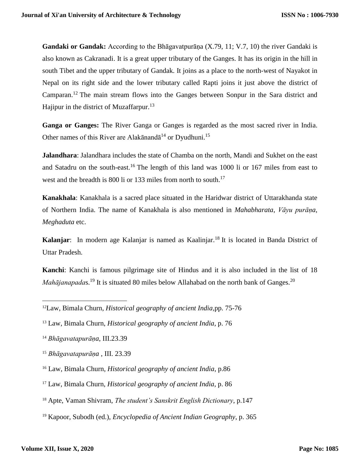**Gandaki or Gandak:** According to the Bhāgavatpurāṇa (X.79, 11; V.7, 10) the river Gandaki is also known as Cakranadi. It is a great upper tributary of the Ganges. It has its origin in the hill in south Tibet and the upper tributary of Gandak. It joins as a place to the north-west of Nayakot in Nepal on its right side and the lower tributary called Rapti joins it just above the district of Camparan.<sup>12</sup> The main stream flows into the Ganges between Sonpur in the Sara district and Hajipur in the district of Muzaffarpur.<sup>13</sup>

**Ganga or Ganges:** The River Ganga or Ganges is regarded as the most sacred river in India. Other names of this River are Alakānandā<sup>14</sup> or Dyudhuni.<sup>15</sup>

**Jalandhara**: Jalandhara includes the state of Chamba on the north, Mandi and Sukhet on the east and Satadru on the south-east.<sup>16</sup> The length of this land was 1000 li or 167 miles from east to west and the breadth is 800 li or 133 miles from north to south.<sup>17</sup>

**Kanakhala**: Kanakhala is a sacred place situated in the Haridwar district of Uttarakhanda state of Northern India. The name of Kanakhala is also mentioned in *Mahabharata*, *Vāyu purāṇa*, *Meghaduta* etc.

Kalanjar: In modern age Kalanjar is named as Kaalinjar.<sup>18</sup> It is located in Banda District of Uttar Pradesh.

**Kanchi**: Kanchi is famous pilgrimage site of Hindus and it is also included in the list of 18 *Mahājanapada*s.<sup>19</sup> It is situated 80 miles below Allahabad on the north bank of Ganges.<sup>20</sup>

<sup>12</sup>Law, Bimala Churn, *Historical geography of ancient India,*pp. 75-76

<sup>13</sup> Law, Bimala Churn, *Historical geography of ancient India*, p. 76

<sup>14</sup> *Bhāgavatapurāṇa*, III.23.39

<sup>15</sup> *Bhāgavatapurāṇa* , III. 23.39

<sup>16</sup> Law, Bimala Churn, *Historical geography of ancient India*, p.86

<sup>17</sup> Law, Bimala Churn, *Historical geography of ancient India*, p. 86

<sup>18</sup> Apte, Vaman Shivram, *The student's Sanskrit English Dictionary*, p.147

<sup>19</sup> Kapoor, Subodh (ed.), *Encyclopedia of Ancient Indian Geography*, p. 365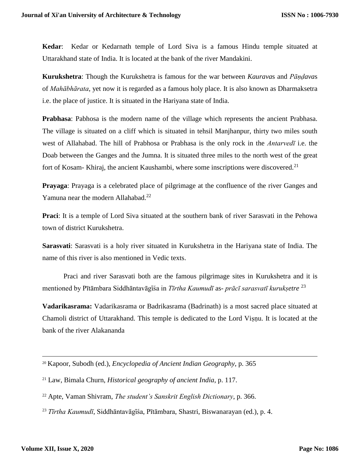**Kedar**: Kedar or Kedarnath temple of Lord Siva is a famous Hindu temple situated at Uttarakhand state of India. It is located at the bank of the river Mandakini.

**Kurukshetra**: Though the Kurukshetra is famous for the war between *Kaurava*s and *Pāṇḍava*s of *Mahābhārata*, yet now it is regarded as a famous holy place. It is also known as Dharmaksetra i.e. the place of justice. It is situated in the Hariyana state of India.

**Prabhasa**: Pabhosa is the modern name of the village which represents the ancient Prabhasa. The village is situated on a cliff which is situated in tehsil Manjhanpur, thirty two miles south west of Allahabad. The hill of Prabhosa or Prabhasa is the only rock in the *Antarvedī* i.e. the Doab between the Ganges and the Jumna. It is situated three miles to the north west of the great fort of Kosam- Khiraj, the ancient Kaushambi, where some inscriptions were discovered.<sup>21</sup>

**Prayaga**: Prayaga is a celebrated place of pilgrimage at the confluence of the river Ganges and Yamuna near the modern Allahabad.<sup>22</sup>

**Praci**: It is a temple of Lord Siva situated at the southern bank of river Sarasvati in the Pehowa town of district Kurukshetra.

**Sarasvati**: Sarasvati is a holy river situated in Kurukshetra in the Hariyana state of India. The name of this river is also mentioned in Vedic texts.

Praci and river Sarasvati both are the famous pilgrimage sites in Kurukshetra and it is mentioned by Pītāmbara Siddhāntavāgīśa in *Tīrtha Kaumudī* as- *prācī sarasvatī kuruksetre*<sup>23</sup>

**Vadarikasrama:** Vadarikasrama or Badrikasrama (Badrinath) is a most sacred place situated at Chamoli district of Uttarakhand. This temple is dedicated to the Lord Viṣṇu. It is located at the bank of the river Alakananda

<sup>20</sup> Kapoor, Subodh (ed.), *Encyclopedia of Ancient Indian Geography*, p. 365

<sup>21</sup> Law, Bimala Churn, *Historical geography of ancient India*, p. 117.

<sup>22</sup> Apte, Vaman Shivram, *The student's Sanskrit English Dictionary*, p. 366.

<sup>&</sup>lt;sup>23</sup> Tīrtha Kaumudī, Siddhāntavāgīśa, Pītāmbara, Shastri, Biswanarayan (ed.), p. 4.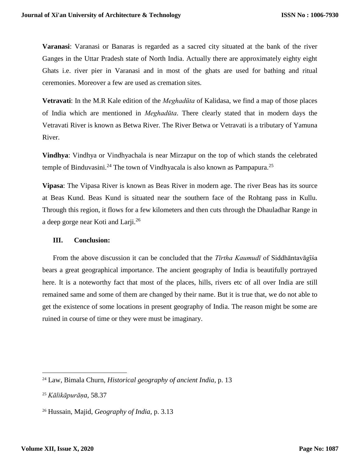**Varanasi**: Varanasi or Banaras is regarded as a sacred city situated at the bank of the river Ganges in the Uttar Pradesh state of North India. Actually there are approximately eighty eight Ghats i.e. river pier in Varanasi and in most of the ghats are used for bathing and ritual ceremonies. Moreover a few are used as cremation sites.

**Vetravati**: In the M.R Kale edition of the *Meghadūta* of Kalidasa, we find a map of those places of India which are mentioned in *Meghadūta*. There clearly stated that in modern days the Vetravati River is known as Betwa River. The River Betwa or Vetravati is a tributary of Yamuna River.

**Vindhya**: Vindhya or Vindhyachala is near Mirzapur on the top of which stands the celebrated temple of Binduvasini.<sup>24</sup> The town of Vindhyacala is also known as Pampapura.<sup>25</sup>

**Vipasa**: The Vipasa River is known as Beas River in modern age. The river Beas has its source at Beas Kund. Beas Kund is situated near the southern face of the Rohtang pass in Kullu. Through this region, it flows for a few kilometers and then cuts through the Dhauladhar Range in a deep gorge near Koti and Larji.<sup>26</sup>

## **III. Conclusion:**

From the above discussion it can be concluded that the *Tīrtha Kaumudī* of Siddhāntavāgīsa bears a great geographical importance. The ancient geography of India is beautifully portrayed here. It is a noteworthy fact that most of the places, hills, rivers etc of all over India are still remained same and some of them are changed by their name. But it is true that, we do not able to get the existence of some locations in present geography of India. The reason might be some are ruined in course of time or they were must be imaginary.

 $\overline{a}$ 

<sup>24</sup> Law, Bimala Churn, *Historical geography of ancient India*, p. 13

<sup>25</sup> *Kālikāpurāṇa*, 58.37

<sup>26</sup> Hussain, Majid, *Geography of India*, p. 3.13